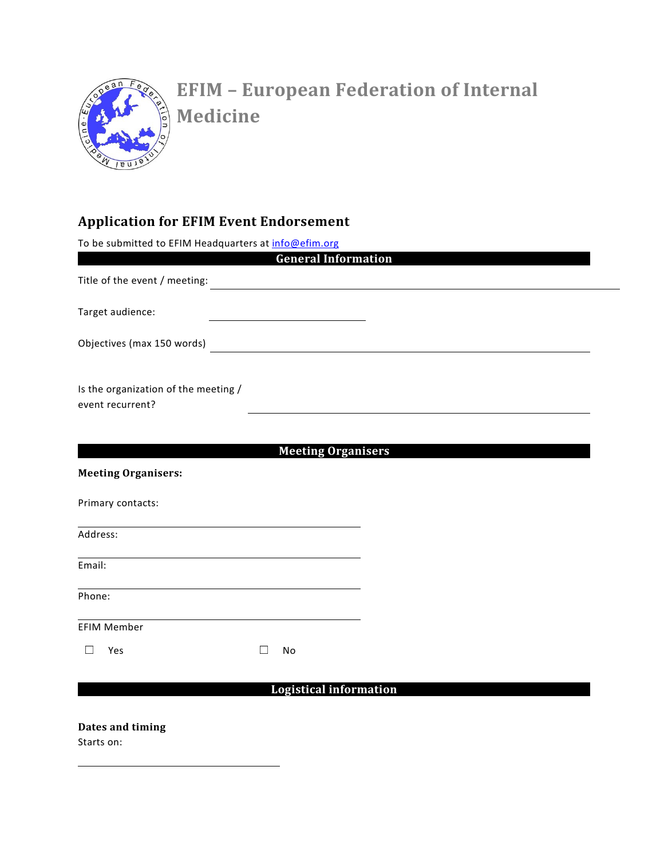

## **EFIM – European Federation of Internal Medicine**

## **Application for EFIM Event Endorsement**

To be submitted to EFIM Headquarters at info@efim.org

|                                                          | <b>General Information</b>    |  |  |
|----------------------------------------------------------|-------------------------------|--|--|
| Title of the event / meeting:                            |                               |  |  |
| Target audience:                                         |                               |  |  |
| Objectives (max 150 words)                               |                               |  |  |
| Is the organization of the meeting /<br>event recurrent? |                               |  |  |
| <b>Meeting Organisers:</b>                               | <b>Meeting Organisers</b>     |  |  |
| Primary contacts:                                        |                               |  |  |
| Address:                                                 |                               |  |  |
| Email:                                                   |                               |  |  |
| Phone:                                                   |                               |  |  |
| <b>EFIM Member</b>                                       |                               |  |  |
| Yes                                                      | No<br>$\mathbf{I}$            |  |  |
|                                                          | <b>Logistical information</b> |  |  |

**Dates and timing** 

Starts on: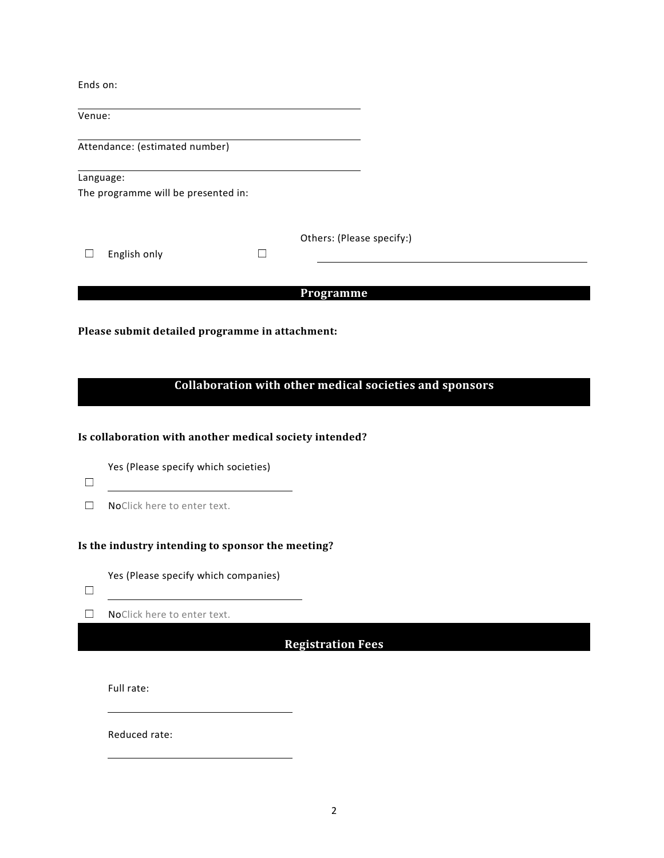Ends on:

Venue:

Attendance: (estimated number)

Language: The programme will be presented in:

|                     | Others: (Please specify:) |  |  |
|---------------------|---------------------------|--|--|
| $\Box$ English only |                           |  |  |

**Programme** 

**Please submit detailed programme in attachment:** 

## **Collaboration with other medical societies and sponsors**

**Is collaboration with another medical society intended?** 

Yes (Please specify which societies)

- ☐
- □ NoClick here to enter text.

**Is the industry intending to sponsor the meeting?** 

Yes (Please specify which companies)

☐

☐ NoClick here to enter text.

**Registration Fees** 

Full rate:

Reduced rate: